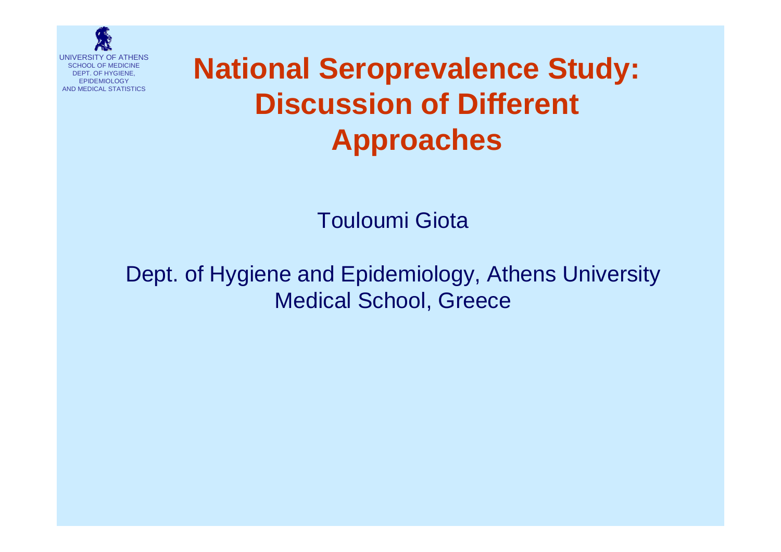

# **National Seroprevalence Study: Discussion of Different Approaches**

Touloumi Giota

Dept. of Hygiene and Epidemiology, Athens University Medical School, Greece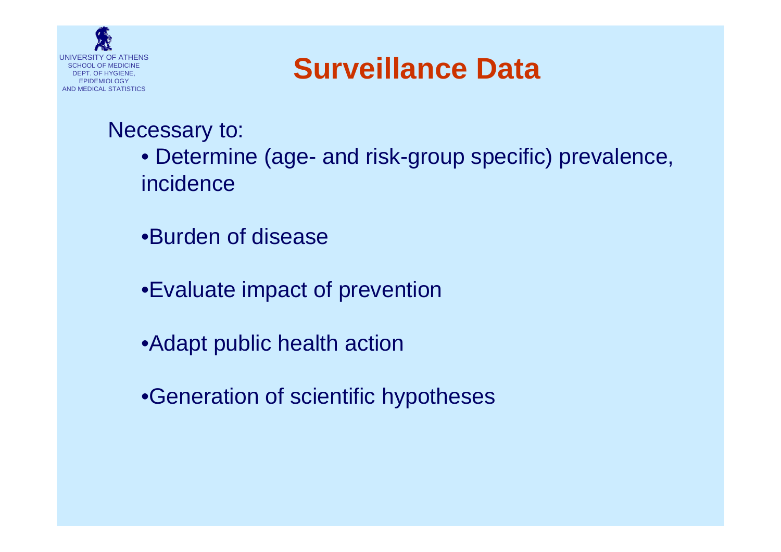

# **Surveillance Data**

### Necessary to:

- Determine (age- and risk-group specific) prevalence, incidence
- •Burden of disease
- •Evaluate impact of prevention
- •Adapt public health action
- •Generation of scientific hypotheses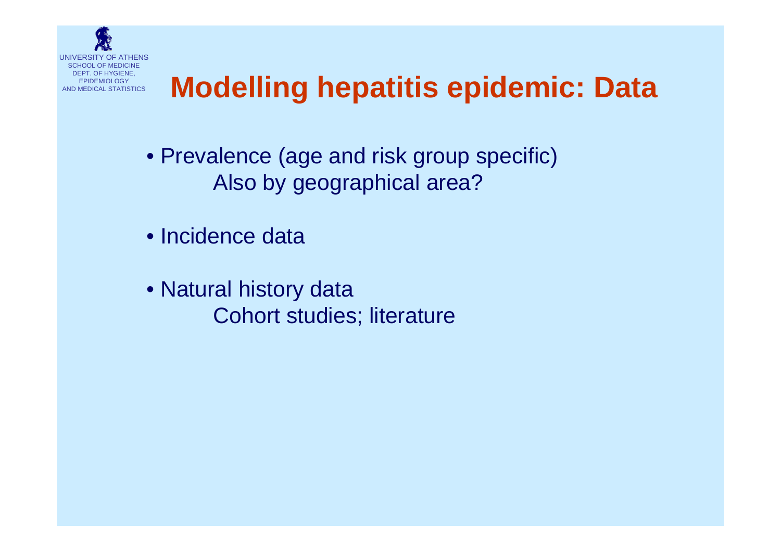

# **Modelling hepatitis epidemic: Data**

- Prevalence (age and risk group specific) Also by geographical area?
- Incidence data
- Natural history data Cohort studies; literature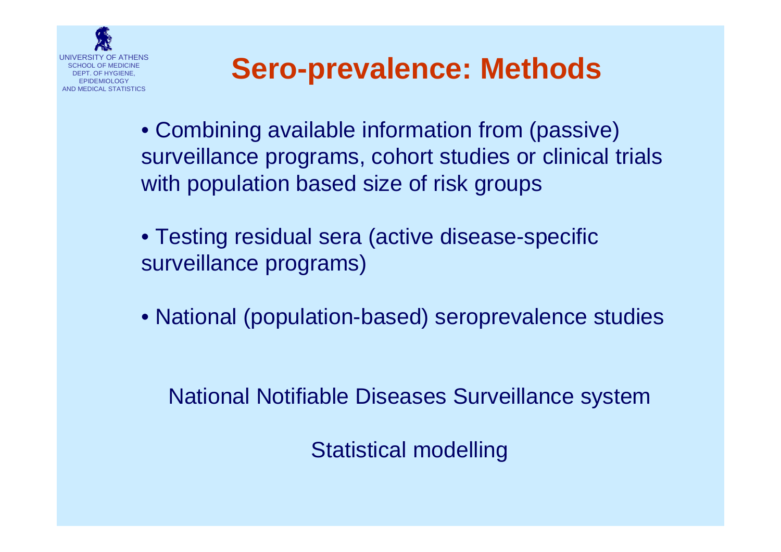

# **Sero-prevalence: Methods**

- Combining available information from (passive) surveillance programs, cohort studies or clinical trials with population based size of risk groups
- Testing residual sera (active disease-specific surveillance programs)
- National (population-based) seroprevalence studies

National Notifiable Diseases Surveillance system

Statistical modelling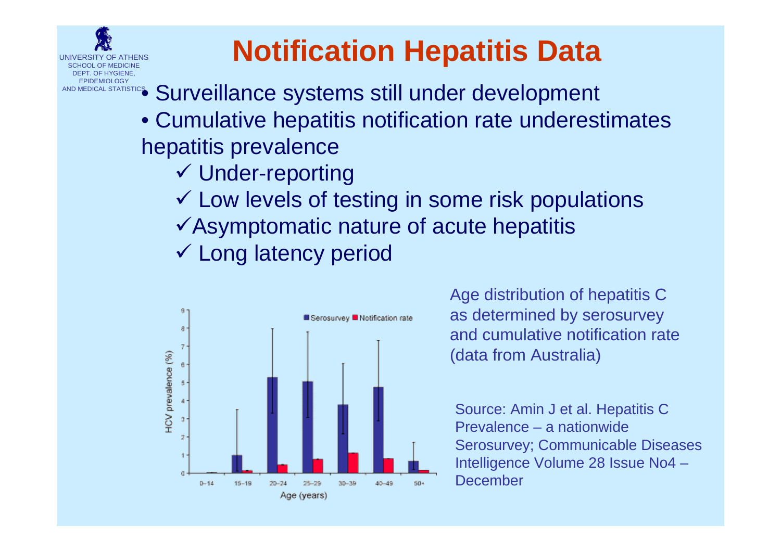

# **Notification Hepatitis Data**

- **AND MEDICAL STATISTICS** Surveillance systems still under development
	- Cumulative hepatitis notification rate underestimates hepatitis prevalence
		- $\checkmark$  Under-reporting
		- $\checkmark$  Low levels of testing in some risk populations
		- $\checkmark$  Asymptomatic nature of acute hepatitis
		- ✔ Long latency period



Age distribution of hepatitis C as determined by serosurvey and cumulative notification rate(data from Australia)

Source: Amin J et al. Hepatitis C Prevalence – a nationwide Serosurvey; Communicable Diseases Intelligence Volume 28 Issue No4 – December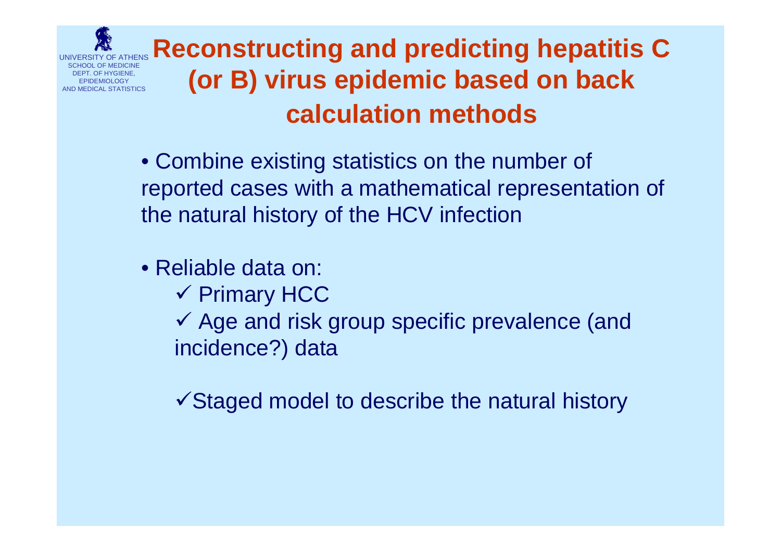

## **Reconstructing and predicting hepatitis C (or B) virus epidemic based on back calculation methods**

• Combine existing statistics on the number of reported cases with a mathematical representation of the natural history of the HCV infection

- Reliable data on:
	- $\checkmark$  Primary HCC

 $\checkmark$  Age and risk group specific prevalence (and incidence?) data

 $\checkmark$  Staged model to describe the natural history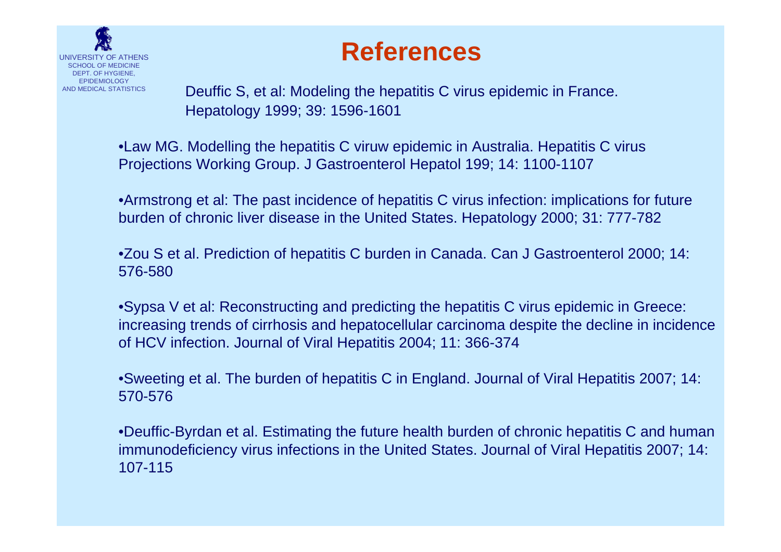

## **References**

Deuffic S, et al: Modeling the hepatitis C virus epidemic in France. Hepatology 1999; 39: 1596-1601

•Law MG. Modelling the hepatitis C viruw epidemic in Australia. Hepatitis C virus Projections Working Group. J Gastroenterol Hepatol 199; 14: 1100-1107

•Armstrong et al: The past incidence of hepatitis C virus infection: implications for future burden of chronic liver disease in the United States. Hepatology 2000; 31: 777-782

•Zou S et al. Prediction of hepatitis C burden in Canada. Can J Gastroenterol 2000; 14: 576-580

•Sypsa V et al: Reconstructing and predicting the hepatitis C virus epidemic in Greece: increasing trends of cirrhosis and hepatocellular carcinoma despite the decline in incidence of HCV infection. Journal of Viral Hepatitis 2004; 11: 366-374

•Sweeting et al. The burden of hepatitis C in England. Journal of Viral Hepatitis 2007; 14: 570-576

•Deuffic-Byrdan et al. Estimating the future health burden of chronic hepatitis C and human immunodeficiency virus infections in the United States. Journal of Viral Hepatitis 2007; 14: 107-115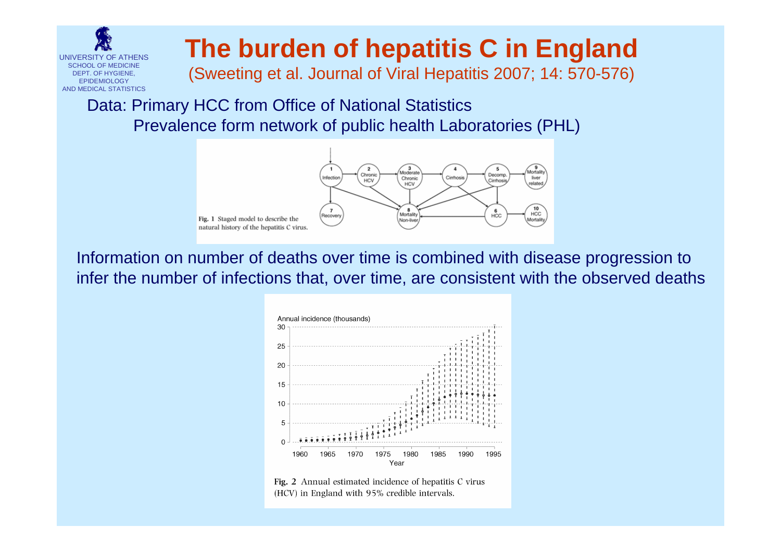

## **The burden of hepatitis C in England**

(Sweeting et al. Journal of Viral Hepatitis 2007; 14: 570-576)

### Data: Primary HCC from Office of National Statistics Prevalence form network of public health Laboratories (PHL)



Information on number of deaths over time is combined with disease progression to infer the number of infections that, over time, are consistent with the observed deaths



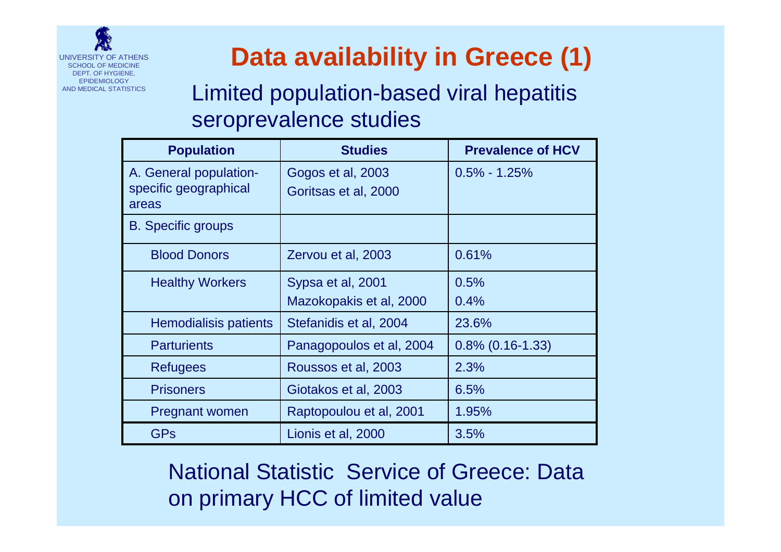

## **Data availability in Greece (1)**

Limited population-based viral hepatitis seroprevalence studies

| <b>Population</b>                                        | <b>Studies</b>                               | <b>Prevalence of HCV</b> |
|----------------------------------------------------------|----------------------------------------------|--------------------------|
| A. General population-<br>specific geographical<br>areas | Gogos et al, 2003<br>Goritsas et al, 2000    | $0.5\% - 1.25\%$         |
| <b>B.</b> Specific groups                                |                                              |                          |
| <b>Blood Donors</b>                                      | Zervou et al, 2003                           | 0.61%                    |
| <b>Healthy Workers</b>                                   | Sypsa et al, 2001<br>Mazokopakis et al, 2000 | 0.5%<br>0.4%             |
| Hemodialisis patients                                    | Stefanidis et al, 2004                       | 23.6%                    |
| <b>Parturients</b>                                       | Panagopoulos et al, 2004                     | $0.8\%$ (0.16-1.33)      |
| Refugees                                                 | Roussos et al, 2003                          | 2.3%                     |
| <b>Prisoners</b>                                         | Giotakos et al, 2003                         | 6.5%                     |
| <b>Pregnant women</b>                                    | Raptopoulou et al, 2001                      | 1.95%                    |
| <b>GPs</b>                                               | Lionis et al, 2000                           | 3.5%                     |

National Statistic Service of Greece: Data on primary HCC of limited value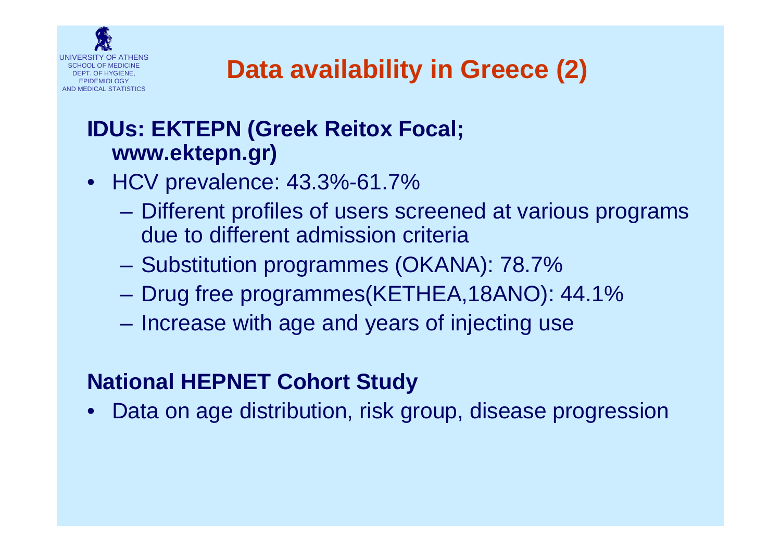

## **IDUs: EKTEPN (Greek Reitox Focal; www.ektepn.gr)**

- HCV prevalence: 43.3%-61.7%
	- Different profiles of users screened at various programs due to different admission criteria
	- Substitution programmes (OKANA): 78.7%
	- Drug free programmes(KETHEA,18ANO): 44.1%
	- Increase with age and years of injecting use

## **National HEPNET Cohort Study**

Data on age distribution, risk group, disease progression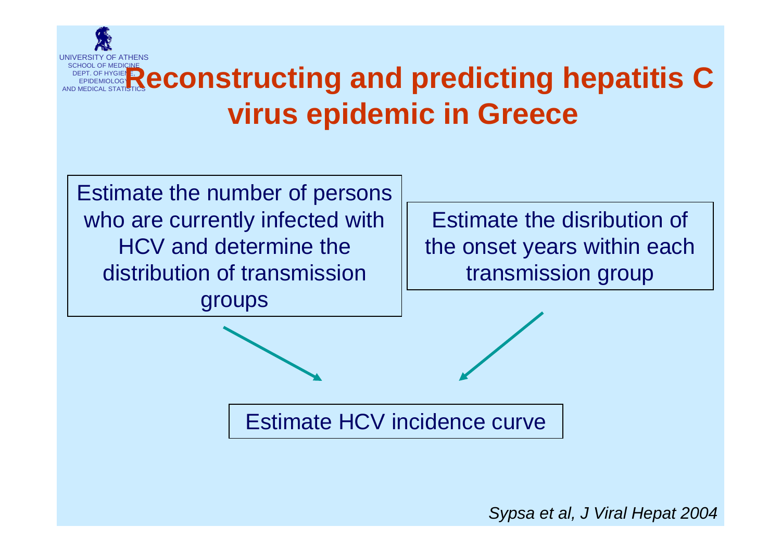

# **SCHOOL OF MEDICINE<br>AND MEDICAL STATISTICS <b>Reconstructing and predicting hepatitis C virus epidemic in Greece**



Estimate the disribution of the onset years within each transmission group

Estimate HCV incidence curve

*Sypsa et al, J Viral Hepat 2004*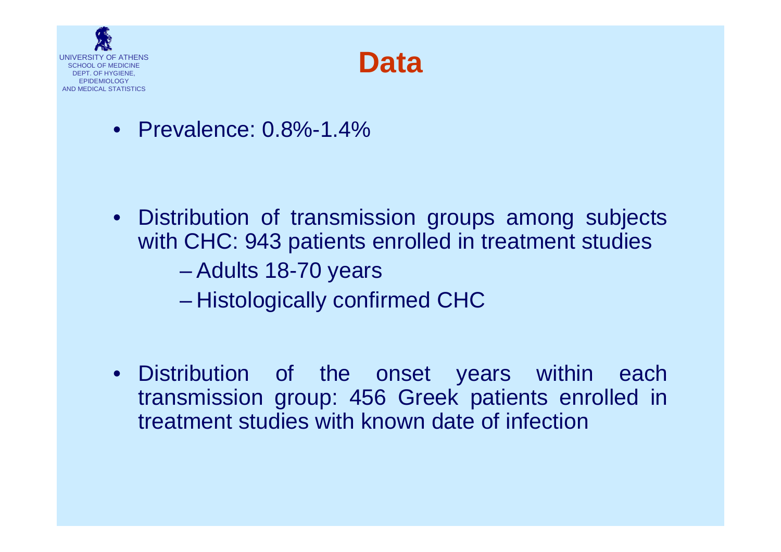



• Prevalence: 0.8%-1.4%

- Distribution of transmission groups among subjects with CHC: 943 patients enrolled in treatment studies – Adults 18-70 years – Histologically confirmed CHC
- Distribution of the onset years within each transmission group: 456 Greek patients enrolled in treatment studies with known date of infection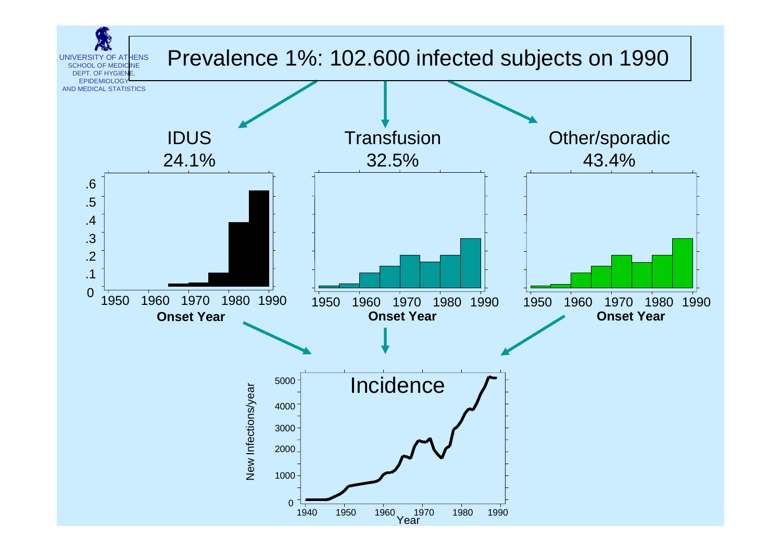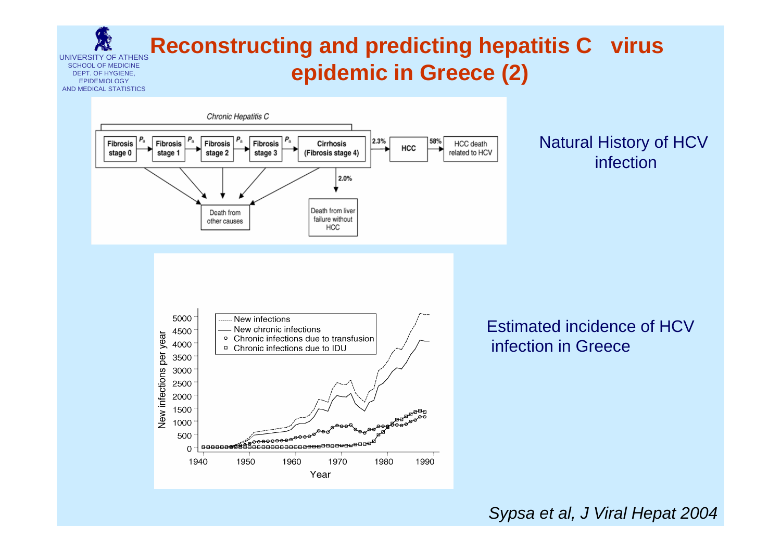#### UNIVERSITY OF ATHENSSCHOOL OF MEDICINEDEPT. OF HYGIENE, **EPIDEMIOLOGY** AND MEDICAL STATISTICS**Reconstructing and predicting hepatitis C virus epidemic in Greece (2)**



### Natural History of HCV infection



Estimated incidence of HCVinfection in Greece

*Sypsa et al, J Viral Hepat 2004*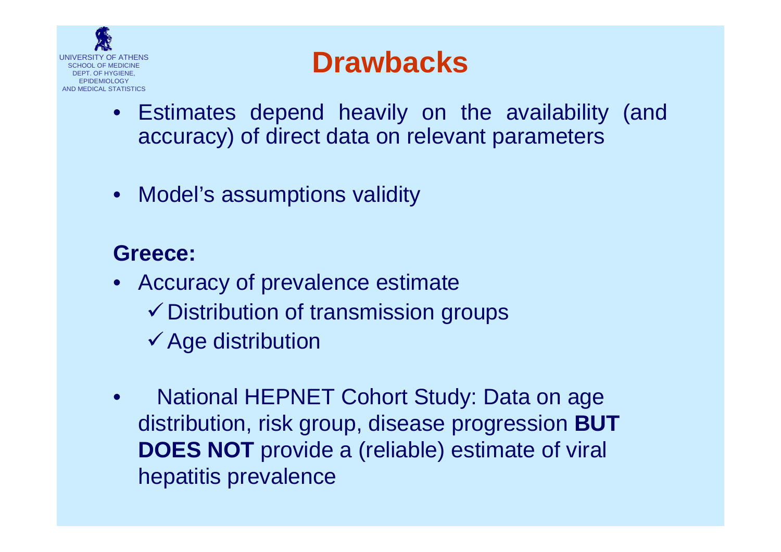

## **Drawbacks**

- Estimates depend heavily on the availability (and accuracy) of direct data on relevant parameters
- Model's assumptions validity

## **Greece:**

- Accuracy of prevalence estimate  $\checkmark$  Distribution of transmission groups
	- $\checkmark$  Age distribution
- National HEPNET Cohort Study: Data on age distribution, risk group, disease progression **BUT DOES NOT** provide a (reliable) estimate of viral hepatitis prevalence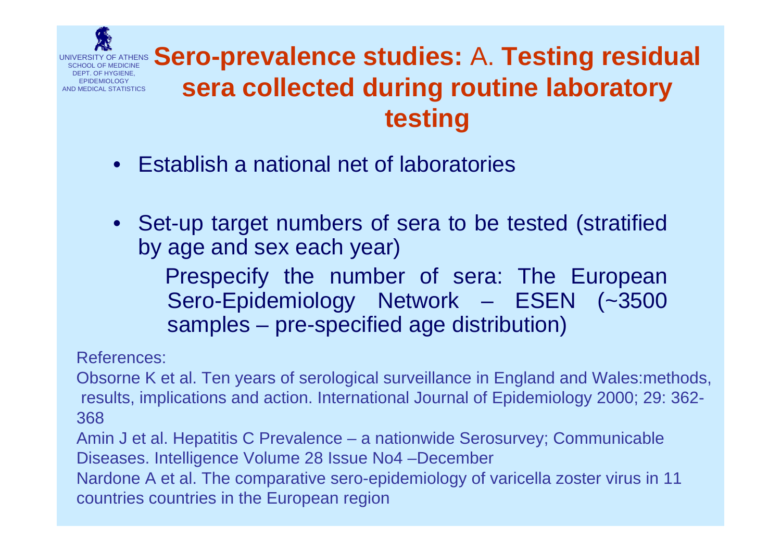

## **Sero-prevalence studies:** A. **Testing residual sera collected during routine laboratory testing**

- Establish a national net of laboratories
- Set-up target numbers of sera to be tested (stratified by age and sex each year)

Prespecify the number of sera: The European Sero-Epidemiology Network – ESEN (~3500 samples – pre-specified age distribution)

References:

Obsorne K et al. Ten years of serological surveillance in England and Wales:methods, results, implications and action. International Journal of Epidemiology 2000; 29: 362- 368

Amin J et al. Hepatitis C Prevalence – a nationwide Serosurvey; Communicable Diseases. Intelligence Volume 28 Issue No4 –December

Nardone A et al. The comparative sero-epidemiology of varicella zoster virus in 11 countries countries in the European region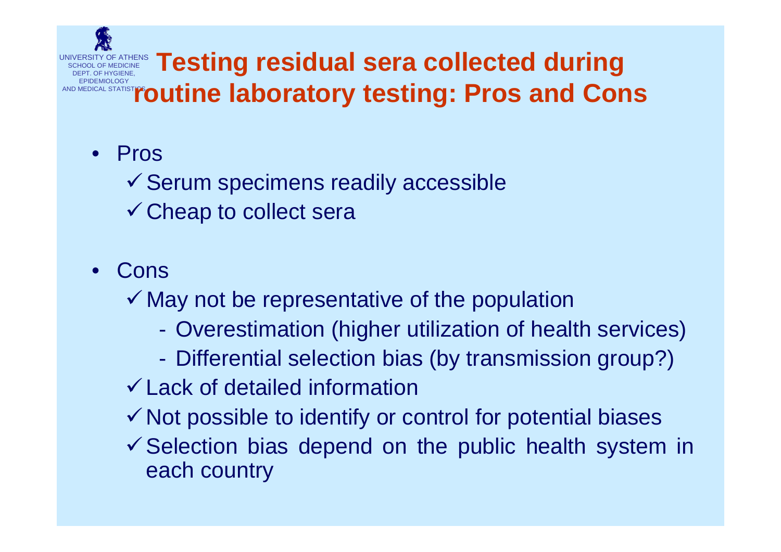

- Pros
	- $\checkmark$  Serum specimens readily accessible
	- $\checkmark$  Cheap to collect sera
- Cons
	- $\checkmark$  May not be representative of the population
		- Overestimation (higher utilization of health services)
		- Differential selection bias (by transmission group?)
	- $\checkmark$  Lack of detailed information
	- $\checkmark$  Not possible to identify or control for potential biases
	- $\checkmark$  Selection bias depend on the public health system in each country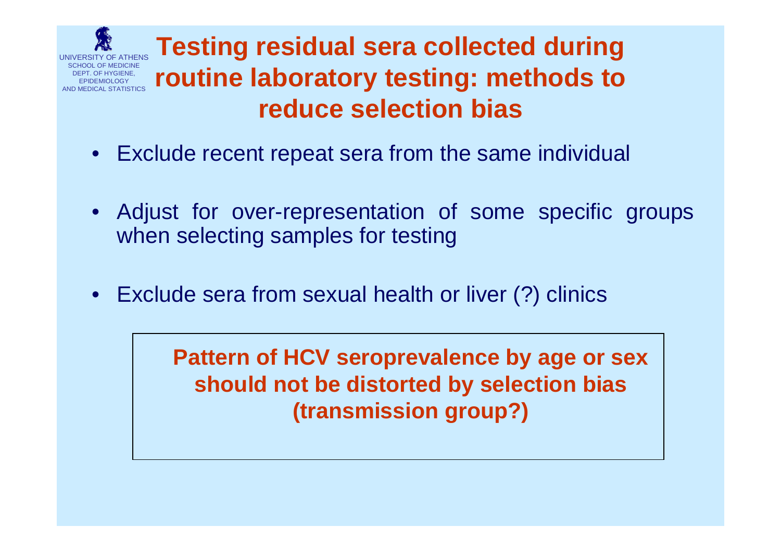

**Testing residual sera collected during routine laboratory testing: methods to reduce selection bias**

- Exclude recent repeat sera from the same individual
- Adjust for over-representation of some specific groups when selecting samples for testing
- Exclude sera from sexual health or liver (?) clinics

**Pattern of HCV seroprevalence by age or sex should not be distorted by selection bias (transmission group?)**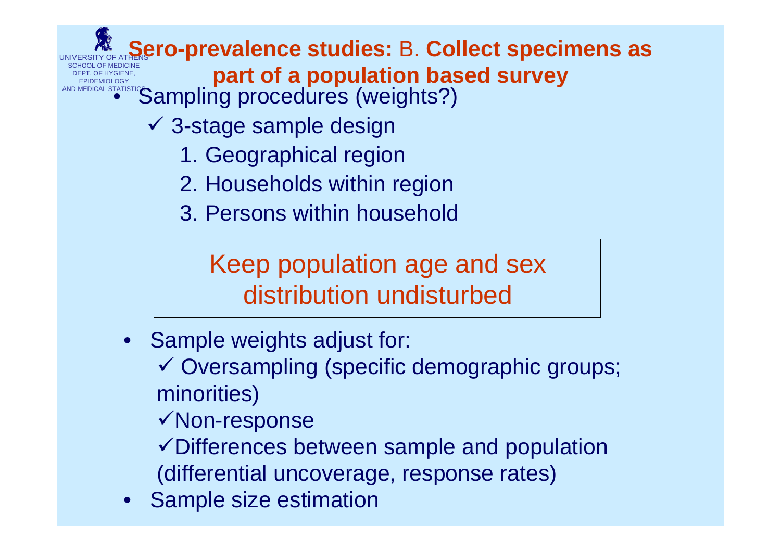## **UNIVERSITY OF ATHENS CO-prevalence studies: B. Collect specimens as**

**SCHOOL OF MEDICINE**<br>**EPIDEMIOLOGY**<br>AND MEDICAL STATISTICS **DEPT. OF A population based Survey** 

- Sampling procedures (weights?)
	- $\checkmark$  3-stage sample design
		- 1. Geographical region
		- 2. Households within region
		- 3. Persons within household

Keep population age and sex distribution undisturbed

• Sample weights adjust for:

✓ Oversampling (specific demographic groups; minorities)

- $\checkmark$  Non-response
- $\checkmark$  Differences between sample and population (differential uncoverage, response rates)
- •Sample size estimation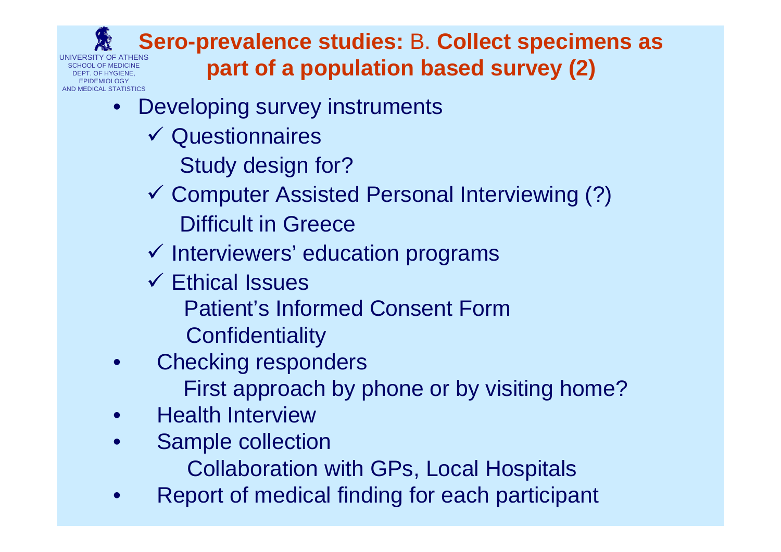UNIVERSITY OF ATHENSSCHOOL OF MEDICINEDEPT. OF HYGIENE, EPIDEMIOLOGYCAL STATISTICS

### **Sero-prevalence studies:** B. **Collect specimens as part of a population based survey (2)**

- Developing survey instruments
	- $\checkmark$  Questionnaires
		- Study design for?
	- 9 Computer Assisted Personal Interviewing (?) Difficult in Greece
	- $\checkmark$  Interviewers' education programs
	- $\checkmark$  Ethical Issues Patient's Informed Consent Form**Confidentiality**
- Checking responders First approach by phone or by visiting home?
- Health Interview
- Sample collection
	- Collaboration with GPs, Local Hospitals
- Report of medical finding for each participant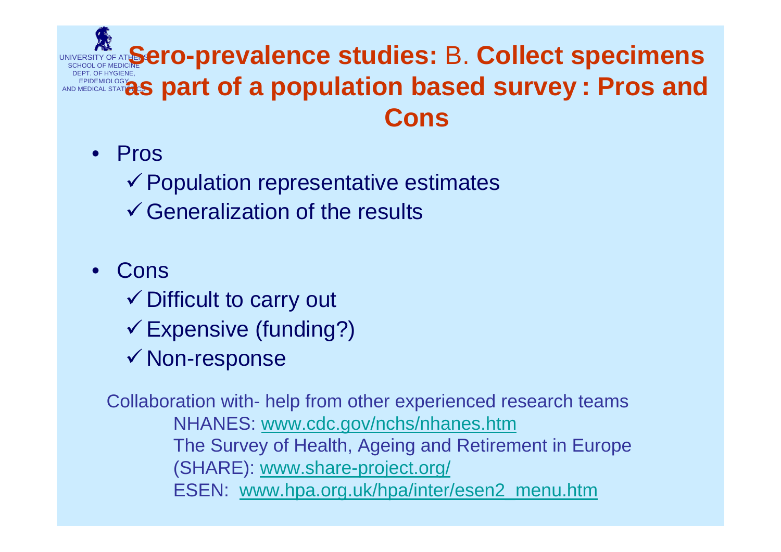### UNIVERSITY OF ATH**OSE TO-prevalence studies: B. Collect specimens** DEPT. OF HYGIENE,<br>EPIDEMIOLOGY<br>AND MEDICAL STATION **as part of a population based survey : Pros and Cons**

• Pros

 $\checkmark$  Population representative estimates

- $\checkmark$  Generalization of the results
- Cons
	- $\checkmark$  Difficult to carry out
	- $\checkmark$  Expensive (funding?)
	- $\checkmark$  Non-response

Collaboration with- help from other experienced research teams NHANES: [www.cdc.gov/nchs/nhanes.htm](http://www.cdc.gov/nchs/nhanes.htm) The Survey of Health, Ageing and Retirement in Europe (SHARE): [www.share-project.org/](http://www.share-project.org/) ESEN: [www.hpa.org.uk/hpa/inter/esen2\\_menu.htm](http://www.hpa.org.uk/hpa/inter/esen2_menu.htm)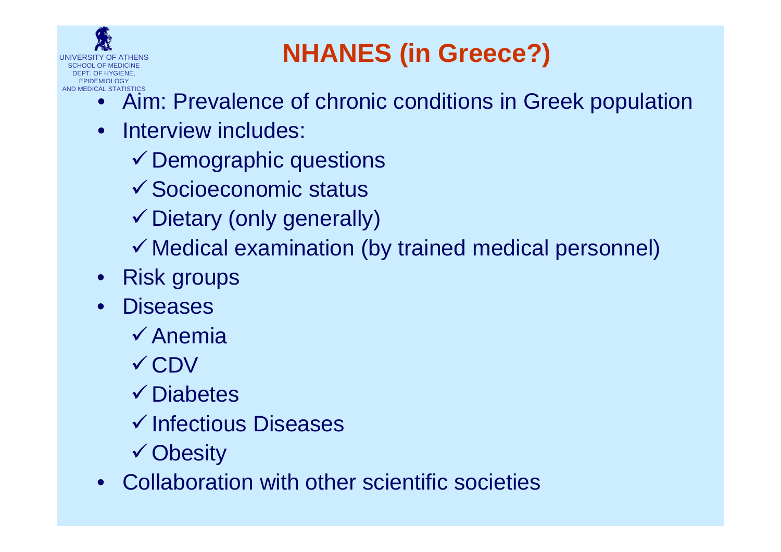

## **NHANES (in Greece?)**

- Aim: Prevalence of chronic conditions in Greek population
- Interview includes:
	- $\checkmark$  Demographic questions
	- $\checkmark$  Socioeconomic status
	- $\checkmark$  Dietary (only generally)
	- $\checkmark$  Medical examination (by trained medical personnel)
- Risk groups
- **Diseases** 
	- $\checkmark$  Anemia
	- √ CDV
	- $\checkmark$  Diabetes
	- $\checkmark$  Infectious Diseases
	- $\checkmark$  Obesity
- Collaboration with other scientific societies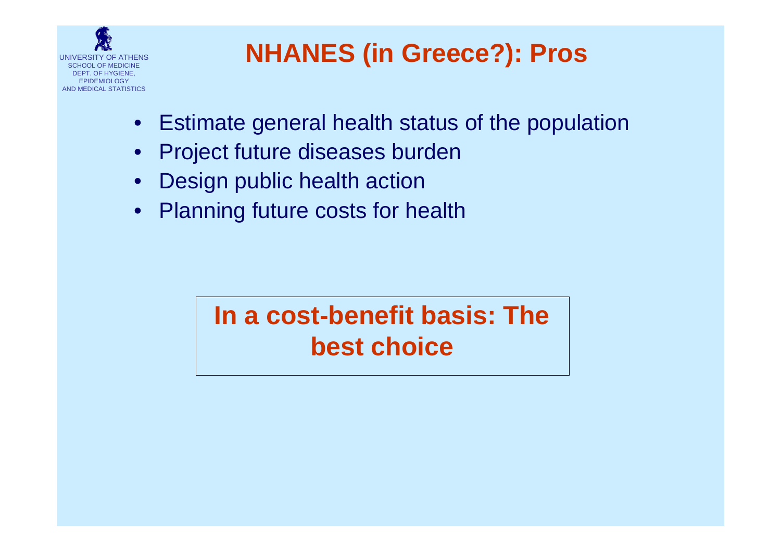

## **NHANES (in Greece?): Pros**

- Estimate general health status of the population
- Project future diseases burden
- Design public health action
- Planning future costs for health

## **In a cost-benefit basis: The best choice**